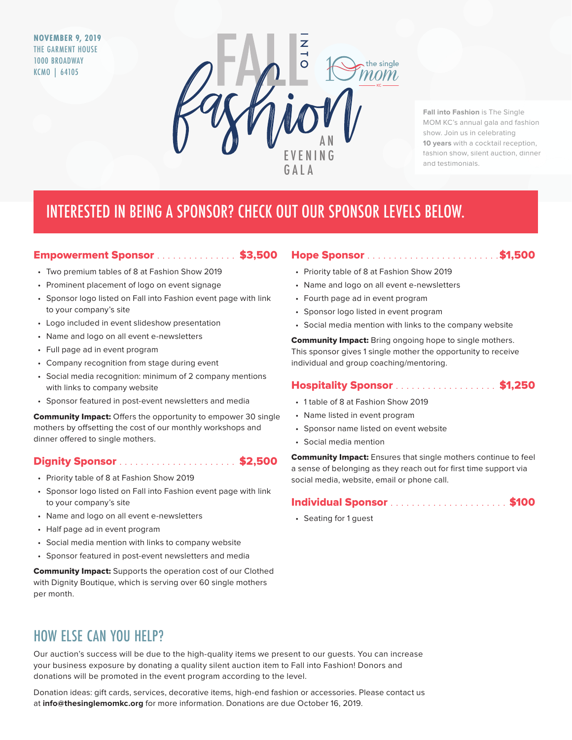**NOVEMBER 9, 2019** THE GARMENT HOUSE 1000 BROADWAY KCMO | 64105



**Fall into Fashion** is The Single MOM KC's annual gala and fashion show. Join us in celebrating **10 years** with a cocktail reception, fashion show, silent auction, dinner and testimonials.

# INTERESTED IN BEING A SPONSOR? CHECK OUT OUR SPONSOR LEVELS BELOW.

### Empowerment Sponsor . . . . . . . . . . . . . . \$3,500

- Two premium tables of 8 at Fashion Show 2019
- Prominent placement of logo on event signage
- Sponsor logo listed on Fall into Fashion event page with link to your company's site
- Logo included in event slideshow presentation
- Name and logo on all event e-newsletters
- Full page ad in event program
- Company recognition from stage during event
- Social media recognition: minimum of 2 company mentions with links to company website
- Sponsor featured in post-event newsletters and media

**Community Impact:** Offers the opportunity to empower 30 single mothers by offsetting the cost of our monthly workshops and dinner offered to single mothers.

### Dignity Sponsor . . . . . . . . . . . . . . . . . . . . . . \$2,500

- Priority table of 8 at Fashion Show 2019
- Sponsor logo listed on Fall into Fashion event page with link to your company's site
- Name and logo on all event e-newsletters
- Half page ad in event program
- Social media mention with links to company website
- Sponsor featured in post-event newsletters and media

Community Impact: Supports the operation cost of our Clothed with Dignity Boutique, which is serving over 60 single mothers per month.

#### Hope Sponsor . . . . . . . . . . . . . . . . . . . . . . . . . \$1,500

- Priority table of 8 at Fashion Show 2019
- Name and logo on all event e-newsletters
- Fourth page ad in event program
- Sponsor logo listed in event program
- Social media mention with links to the company website

**Community Impact:** Bring ongoing hope to single mothers. This sponsor gives 1 single mother the opportunity to receive individual and group coaching/mentoring.

#### **Hospitality Sponsor . . . . . . . . . . . . . . . . . \$1,250**

- 1 table of 8 at Fashion Show 2019
- Name listed in event program
- Sponsor name listed on event website
- Social media mention

Community Impact: Ensures that single mothers continue to feel a sense of belonging as they reach out for first time support via social media, website, email or phone call.

#### Individual Sponsor . . . . . . . . . . . . . . . . . . . . . . \$100

• Seating for 1 guest

## HOW ELSE CAN YOU HELP?

Our auction's success will be due to the high-quality items we present to our guests. You can increase your business exposure by donating a quality silent auction item to Fall into Fashion! Donors and donations will be promoted in the event program according to the level.

Donation ideas: gift cards, services, decorative items, high-end fashion or accessories. Please contact us at **info@thesinglemomkc.org** for more information. Donations are due October 16, 2019.